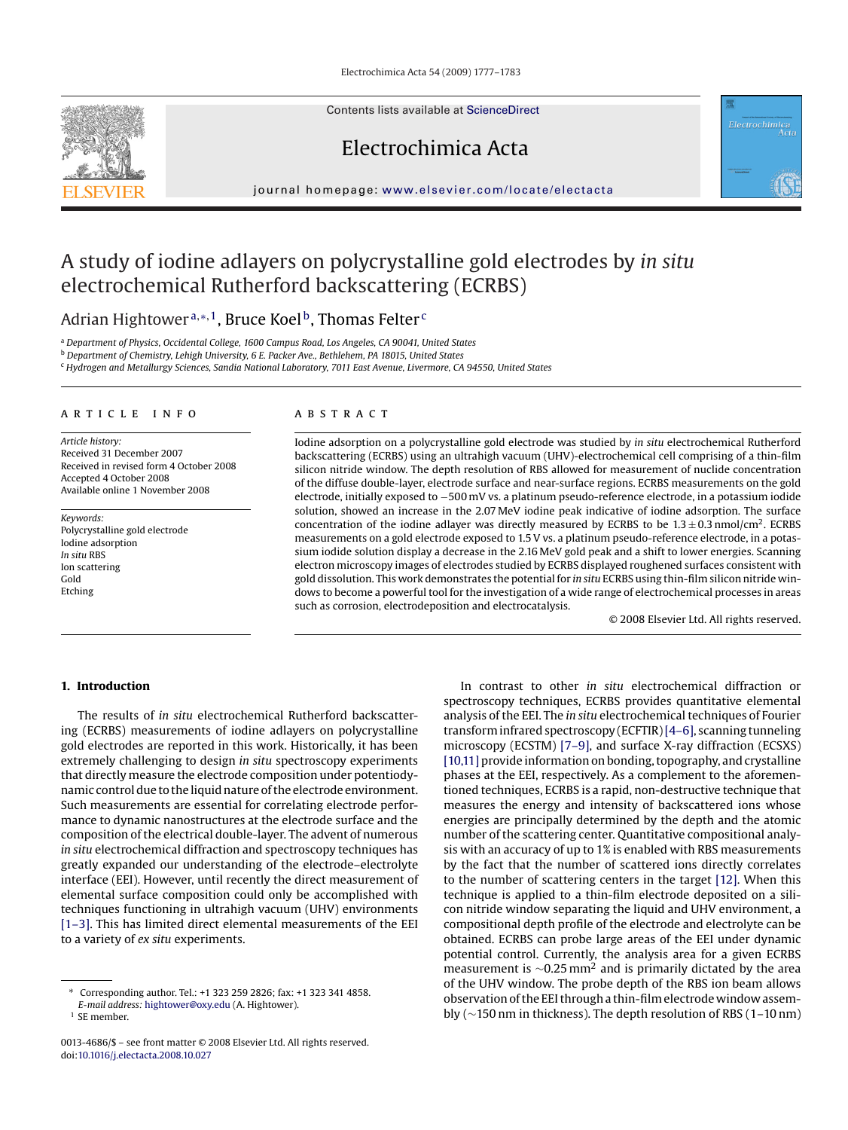Electrochimica Acta 54 (2009) 1777–1783

Contents lists available at [ScienceDirect](http://www.sciencedirect.com/science/journal/00134686)

# Electrochimica Acta

journal homepage: [www.elsevier.com/locate/electacta](http://www.elsevier.com/locate/electacta)

## A study of iodine adlayers on polycrystalline gold electrodes by *in situ* electrochemical Rutherford backscattering (ECRBS)

Adrian Hightower<sup>a,\*,1</sup>, Bruce Koel<sup>b</sup>, Thomas Felter<sup>c</sup>

<sup>a</sup> *Department of Physics, Occidental College, 1600 Campus Road, Los Angeles, CA 90041, United States*

<sup>b</sup> *Department of Chemistry, Lehigh University, 6 E. Packer Ave., Bethlehem, PA 18015, United States*

<sup>c</sup> *Hydrogen and Metallurgy Sciences, Sandia National Laboratory, 7011 East Avenue, Livermore, CA 94550, United States*

## article info

*Article history:* Received 31 December 2007 Received in revised form 4 October 2008 Accepted 4 October 2008 Available online 1 November 2008

*Keywords:* Polycrystalline gold electrode Iodine adsorption *In situ* RBS Ion scattering Gold Etching

## ABSTRACT

Iodine adsorption on a polycrystalline gold electrode was studied by *in situ* electrochemical Rutherford backscattering (ECRBS) using an ultrahigh vacuum (UHV)-electrochemical cell comprising of a thin-film silicon nitride window. The depth resolution of RBS allowed for measurement of nuclide concentration of the diffuse double-layer, electrode surface and near-surface regions. ECRBS measurements on the gold electrode, initially exposed to −500 mV vs. a platinum pseudo-reference electrode, in a potassium iodide solution, showed an increase in the 2.07 MeV iodine peak indicative of iodine adsorption. The surface concentration of the iodine adlayer was directly measured by ECRBS to be  $1.3 \pm 0.3$  nmol/cm<sup>2</sup>. ECRBS measurements on a gold electrode exposed to 1.5 V vs. a platinum pseudo-reference electrode, in a potassium iodide solution display a decrease in the 2.16 MeV gold peak and a shift to lower energies. Scanning electron microscopy images of electrodes studied by ECRBS displayed roughened surfaces consistent with gold dissolution. This work demonstrates the potential for *in situ* ECRBS using thin-film silicon nitride windows to become a powerful tool for the investigation of a wide range of electrochemical processes in areas such as corrosion, electrodeposition and electrocatalysis.

© 2008 Elsevier Ltd. All rights reserved.

Electrochimica<br>Acta

## **1. Introduction**

The results of *in situ* electrochemical Rutherford backscattering (ECRBS) measurements of iodine adlayers on polycrystalline gold electrodes are reported in this work. Historically, it has been extremely challenging to design *in situ* spectroscopy experiments that directly measure the electrode composition under potentiodynamic control due to the liquid nature of the electrode environment. Such measurements are essential for correlating electrode performance to dynamic nanostructures at the electrode surface and the composition of the electrical double-layer. The advent of numerous *in situ* electrochemical diffraction and spectroscopy techniques has greatly expanded our understanding of the electrode–electrolyte interface (EEI). However, until recently the direct measurement of elemental surface composition could only be accomplished with techniques functioning in ultrahigh vacuum (UHV) environments [\[1–3\]. T](#page-6-0)his has limited direct elemental measurements of the EEI to a variety of *ex situ* experiments.

In contrast to other *in situ* electrochemical diffraction or spectroscopy techniques, ECRBS provides quantitative elemental analysis of the EEI. The *in situ* electrochemical techniques of Fourier transform infrared spectroscopy (ECFTIR)[\[4–6\], s](#page-6-0)canning tunneling microscopy (ECSTM) [\[7–9\], a](#page-6-0)nd surface X-ray diffraction (ECSXS) [\[10,11\]](#page-6-0) provide information on bonding, topography, and crystalline phases at the EEI, respectively. As a complement to the aforementioned techniques, ECRBS is a rapid, non-destructive technique that measures the energy and intensity of backscattered ions whose energies are principally determined by the depth and the atomic number of the scattering center. Quantitative compositional analysis with an accuracy of up to 1% is enabled with RBS measurements by the fact that the number of scattered ions directly correlates to the number of scattering centers in the target [\[12\]. W](#page-6-0)hen this technique is applied to a thin-film electrode deposited on a silicon nitride window separating the liquid and UHV environment, a compositional depth profile of the electrode and electrolyte can be obtained. ECRBS can probe large areas of the EEI under dynamic potential control. Currently, the analysis area for a given ECRBS measurement is <sup>∼</sup>0.25 mm2 and is primarily dictated by the area of the UHV window. The probe depth of the RBS ion beam allows observation of the EEI through a thin-film electrode window assembly (∼150 nm in thickness). The depth resolution of RBS (1–10 nm)



<sup>∗</sup> Corresponding author. Tel.: +1 323 259 2826; fax: +1 323 341 4858. *E-mail address:* [hightower@oxy.edu](mailto:hightower@oxy.edu) (A. Hightower).

<sup>1</sup> SE member.

<sup>0013-4686/\$ –</sup> see front matter © 2008 Elsevier Ltd. All rights reserved. doi:[10.1016/j.electacta.2008.10.027](dx.doi.org/10.1016/j.electacta.2008.10.027)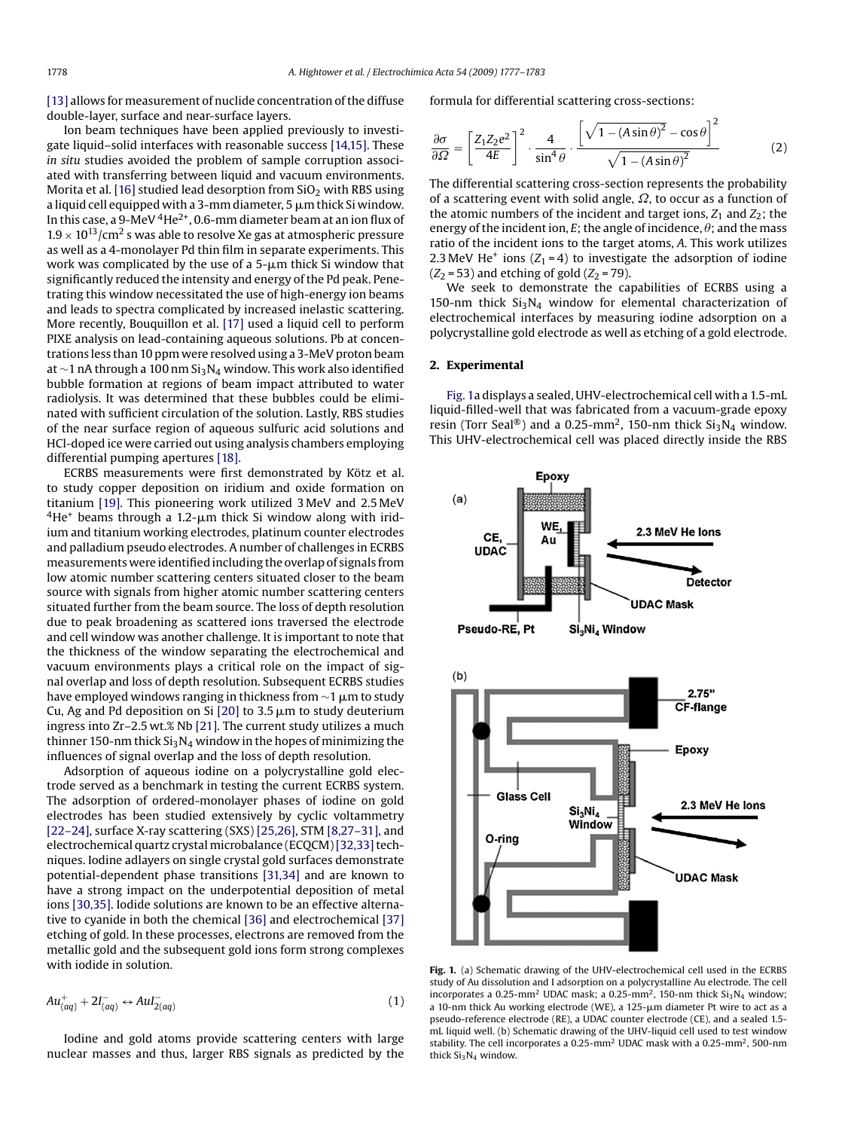<span id="page-1-0"></span>[\[13\]](#page-6-0) allows for measurement of nuclide concentration of the diffuse double-layer, surface and near-surface layers.

Ion beam techniques have been applied previously to investigate liquid–solid interfaces with reasonable success [\[14,15\]. T](#page-6-0)hese *in situ* studies avoided the problem of sample corruption associated with transferring between liquid and vacuum environments. Morita et al. [\[16\]](#page-6-0) studied lead desorption from  $SiO<sub>2</sub>$  with RBS using a liquid cell equipped with a 3-mm diameter, 5  $\mu$ m thick Si window. In this case, a 9-MeV  $4$ He<sup>2+</sup>, 0.6-mm diameter beam at an ion flux of  $1.9 \times 10^{13}$ /cm<sup>2</sup> s was able to resolve Xe gas at atmospheric pressure as well as a 4-monolayer Pd thin film in separate experiments. This work was complicated by the use of a 5-µm thick Si window that significantly reduced the intensity and energy of the Pd peak. Penetrating this window necessitated the use of high-energy ion beams and leads to spectra complicated by increased inelastic scattering. More recently, Bouquillon et al. [\[17\]](#page-6-0) used a liquid cell to perform PIXE analysis on lead-containing aqueous solutions. Pb at concentrations less than 10 ppm were resolved using a 3-MeV proton beam at ∼1 nA through a 100 nm Si3N4 window. This work also identified bubble formation at regions of beam impact attributed to water radiolysis. It was determined that these bubbles could be eliminated with sufficient circulation of the solution. Lastly, RBS studies of the near surface region of aqueous sulfuric acid solutions and HCl-doped ice were carried out using analysis chambers employing differential pumping apertures [\[18\].](#page-6-0)

ECRBS measurements were first demonstrated by Kötz et al. to study copper deposition on iridium and oxide formation on titanium [\[19\].](#page-6-0) This pioneering work utilized 3 MeV and 2.5 MeV  $4$ He<sup>+</sup> beams through a 1.2- $\mu$ m thick Si window along with iridium and titanium working electrodes, platinum counter electrodes and palladium pseudo electrodes. A number of challenges in ECRBS measurements were identified including the overlap of signals from low atomic number scattering centers situated closer to the beam source with signals from higher atomic number scattering centers situated further from the beam source. The loss of depth resolution due to peak broadening as scattered ions traversed the electrode and cell window was another challenge. It is important to note that the thickness of the window separating the electrochemical and vacuum environments plays a critical role on the impact of signal overlap and loss of depth resolution. Subsequent ECRBS studies have employed windows ranging in thickness from  $\sim$ 1  $\mu$ m to study Cu, Ag and Pd deposition on Si [\[20\]](#page-6-0) to 3.5  $\mu$ m to study deuterium ingress into Zr–2.5 wt.% Nb [\[21\]. T](#page-6-0)he current study utilizes a much thinner 150-nm thick  $Si<sub>3</sub>N<sub>4</sub>$  window in the hopes of minimizing the influences of signal overlap and the loss of depth resolution.

Adsorption of aqueous iodine on a polycrystalline gold electrode served as a benchmark in testing the current ECRBS system. The adsorption of ordered-monolayer phases of iodine on gold electrodes has been studied extensively by cyclic voltammetry [\[22–24\], s](#page-6-0)urface X-ray scattering (SXS) [\[25,26\], S](#page-6-0)TM [\[8,27–31\], a](#page-6-0)nd electrochemical quartz crystal microbalance (ECQCM) [32,33] techniques. Iodine adlayers on single crystal gold surfaces demonstrate potential-dependent phase transitions [\[31,34\]](#page-6-0) and are known to have a strong impact on the underpotential deposition of metal ions [\[30,35\]. I](#page-6-0)odide solutions are known to be an effective alternative to cyanide in both the chemical [\[36\]](#page-6-0) and electrochemical [\[37\]](#page-6-0) etching of gold. In these processes, electrons are removed from the metallic gold and the subsequent gold ions form strong complexes with iodide in solution.

$$
Au_{(aq)}^+ + 2I_{(aq)}^- \leftrightarrow AuI_{2(aq)}^- \tag{1}
$$

Iodine and gold atoms provide scattering centers with large nuclear masses and thus, larger RBS signals as predicted by the formula for differential scattering cross-sections:

$$
\frac{\partial \sigma}{\partial \Omega} = \left[ \frac{Z_1 Z_2 e^2}{4E} \right]^2 \cdot \frac{4}{\sin^4 \theta} \cdot \frac{\left[ \sqrt{1 - (A \sin \theta)^2} - \cos \theta \right]^2}{\sqrt{1 - (A \sin \theta)^2}} \tag{2}
$$

The differential scattering cross-section represents the probability of a scattering event with solid angle,  $\Omega$ , to occur as a function of the atomic numbers of the incident and target ions,  $Z_1$  and  $Z_2$ ; the energy of the incident ion,  $E$ ; the angle of incidence,  $\theta$ ; and the mass ratio of the incident ions to the target atoms, *A*. This work utilizes 2.3 MeV He<sup>+</sup> ions ( $Z_1 = 4$ ) to investigate the adsorption of iodine  $(Z_2 = 53)$  and etching of gold  $(Z_2 = 79)$ .

We seek to demonstrate the capabilities of ECRBS using a 150-nm thick  $Si<sub>3</sub>N<sub>4</sub>$  window for elemental characterization of electrochemical interfaces by measuring iodine adsorption on a polycrystalline gold electrode as well as etching of a gold electrode.

### **2. Experimental**

Fig. 1a displays a sealed, UHV-electrochemical cell with a 1.5-mL liquid-filled-well that was fabricated from a vacuum-grade epoxy resin (Torr Seal®) and a 0.25-mm<sup>2</sup>, 150-nm thick  $Si<sub>3</sub>N<sub>4</sub>$  window. This UHV-electrochemical cell was placed directly inside the RBS



**Fig. 1.** (a) Schematic drawing of the UHV-electrochemical cell used in the ECRBS study of Au dissolution and I adsorption on a polycrystalline Au electrode. The cell incorporates a 0.25-mm<sup>2</sup> UDAC mask; a 0.25-mm<sup>2</sup>, 150-nm thick  $Si<sub>3</sub>N<sub>4</sub>$  window; a 10-nm thick Au working electrode (WE), a  $125$ - $\mu$ m diameter Pt wire to act as a pseudo-reference electrode (RE), a UDAC counter electrode (CE), and a sealed 1.5 mL liquid well. (b) Schematic drawing of the UHV-liquid cell used to test window stability. The cell incorporates a 0.25-mm<sup>2</sup> UDAC mask with a 0.25-mm<sup>2</sup>, 500-nm thick  $Si<sub>3</sub>N<sub>4</sub>$  window.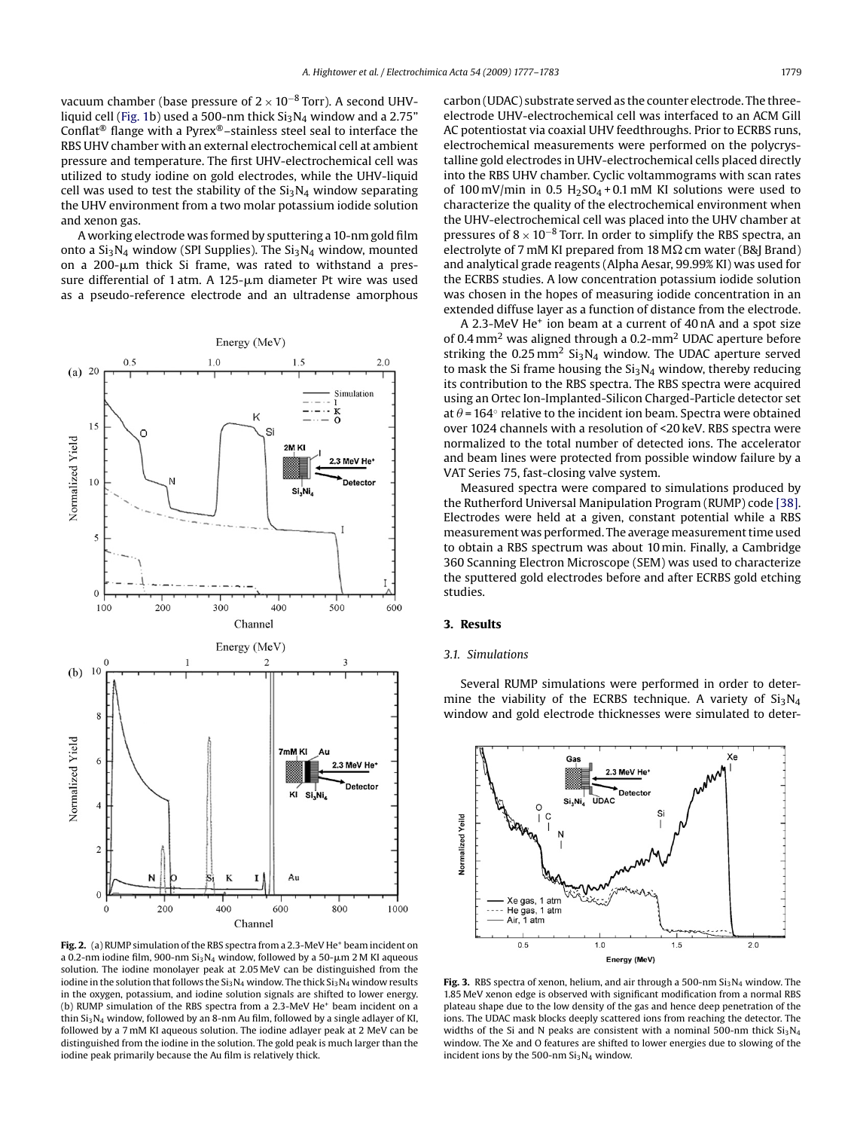<span id="page-2-0"></span>vacuum chamber (base pressure of  $2 \times 10^{-8}$  Torr). A second UHV-liquid cell [\(Fig. 1b\)](#page-1-0) used a 500-nm thick  $Si<sub>3</sub>N<sub>4</sub>$  window and a 2.75" Conflat® flange with a Pyrex®–stainless steel seal to interface the RBS UHV chamber with an external electrochemical cell at ambient pressure and temperature. The first UHV-electrochemical cell was utilized to study iodine on gold electrodes, while the UHV-liquid cell was used to test the stability of the  $Si<sub>3</sub>N<sub>4</sub>$  window separating the UHV environment from a two molar potassium iodide solution and xenon gas.

A working electrode was formed by sputtering a 10-nm gold film onto a  $Si<sub>3</sub>N<sub>4</sub>$  window (SPI Supplies). The  $Si<sub>3</sub>N<sub>4</sub>$  window, mounted on a 200-µm thick Si frame, was rated to withstand a pressure differential of 1 atm. A 125-µm diameter Pt wire was used as a pseudo-reference electrode and an ultradense amorphous



Fig. 2. (a) RUMP simulation of the RBS spectra from a 2.3-MeV He<sup>+</sup> beam incident on a 0.2-nm iodine film, 900-nm Si $_3$ N $_4$  window, followed by a 50- $\mu$ m 2 M KI aqueous solution. The iodine monolayer peak at 2.05 MeV can be distinguished from the iodine in the solution that follows the  $Si<sub>3</sub>N<sub>4</sub>$  window. The thick  $Si<sub>3</sub>N<sub>4</sub>$  window results in the oxygen, potassium, and iodine solution signals are shifted to lower energy. (b) RUMP simulation of the RBS spectra from a 2.3-MeV He<sup>+</sup> beam incident on a thin  $Si<sub>3</sub>N<sub>4</sub>$  window, followed by an 8-nm Au film, followed by a single adlayer of KI, followed by a 7 mM KI aqueous solution. The iodine adlayer peak at 2 MeV can be distinguished from the iodine in the solution. The gold peak is much larger than the iodine peak primarily because the Au film is relatively thick.

carbon (UDAC) substrate served as the counter electrode. The threeelectrode UHV-electrochemical cell was interfaced to an ACM Gill AC potentiostat via coaxial UHV feedthroughs. Prior to ECRBS runs, electrochemical measurements were performed on the polycrystalline gold electrodes in UHV-electrochemical cells placed directly into the RBS UHV chamber. Cyclic voltammograms with scan rates of 100 mV/min in 0.5  $H<sub>2</sub>SO<sub>4</sub> + 0.1$  mM KI solutions were used to characterize the quality of the electrochemical environment when the UHV-electrochemical cell was placed into the UHV chamber at pressures of  $8 \times 10^{-8}$  Torr. In order to simplify the RBS spectra, an electrolyte of 7 mM KI prepared from 18 M $\Omega$  cm water (B&J Brand) and analytical grade reagents (Alpha Aesar, 99.99% KI) was used for the ECRBS studies. A low concentration potassium iodide solution was chosen in the hopes of measuring iodide concentration in an extended diffuse layer as a function of distance from the electrode.

A 2.3-MeV He<sup>+</sup> ion beam at a current of 40 nA and a spot size of 0.4 mm2 was aligned through a 0.2-mm2 UDAC aperture before striking the  $0.25$  mm<sup>2</sup> Si<sub>3</sub>N<sub>4</sub> window. The UDAC aperture served to mask the Si frame housing the  $Si<sub>3</sub>N<sub>4</sub>$  window, thereby reducing its contribution to the RBS spectra. The RBS spectra were acquired using an Ortec Ion-Implanted-Silicon Charged-Particle detector set at  $\theta$  = 164 $\degree$  relative to the incident ion beam. Spectra were obtained over 1024 channels with a resolution of <20 keV. RBS spectra were normalized to the total number of detected ions. The accelerator and beam lines were protected from possible window failure by a VAT Series 75, fast-closing valve system.

Measured spectra were compared to simulations produced by the Rutherford Universal Manipulation Program (RUMP) code [\[38\].](#page-6-0) Electrodes were held at a given, constant potential while a RBS measurement was performed. The average measurement time used to obtain a RBS spectrum was about 10 min. Finally, a Cambridge 360 Scanning Electron Microscope (SEM) was used to characterize the sputtered gold electrodes before and after ECRBS gold etching studies.

#### **3. Results**

## *3.1. Simulations*

Several RUMP simulations were performed in order to determine the viability of the ECRBS technique. A variety of  $Si<sub>3</sub>N<sub>4</sub>$ window and gold electrode thicknesses were simulated to deter-



Fig. 3. RBS spectra of xenon, helium, and air through a 500-nm Si<sub>3</sub>N<sub>4</sub> window. The 1.85 MeV xenon edge is observed with significant modification from a normal RBS plateau shape due to the low density of the gas and hence deep penetration of the ions. The UDAC mask blocks deeply scattered ions from reaching the detector. The widths of the Si and N peaks are consistent with a nominal 500-nm thick  $Si<sub>3</sub>N<sub>4</sub>$ window. The Xe and O features are shifted to lower energies due to slowing of the incident ions by the 500-nm  $Si<sub>3</sub>N<sub>4</sub>$  window.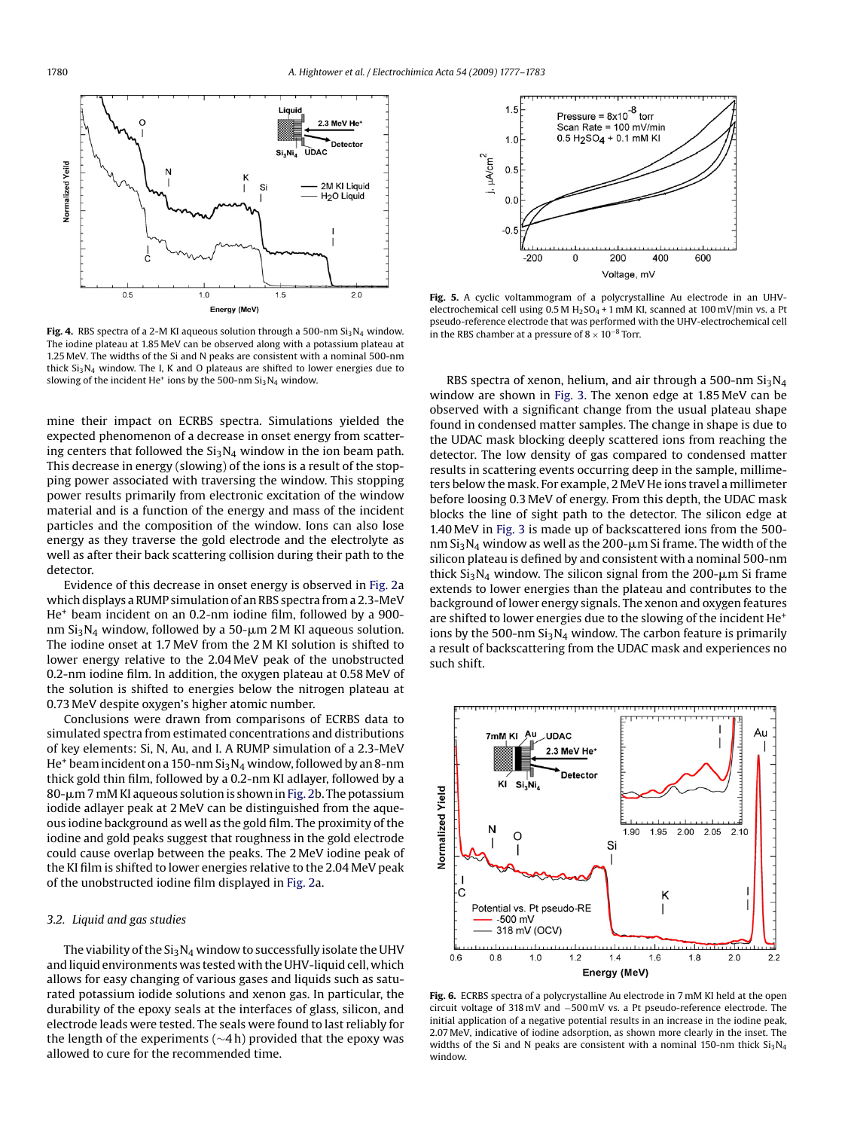<span id="page-3-0"></span>

**Fig. 4.** RBS spectra of a 2-M KI aqueous solution through a 500-nm  $Si<sub>3</sub>N<sub>4</sub>$  window. The iodine plateau at 1.85 MeV can be observed along with a potassium plateau at 1.25 MeV. The widths of the Si and N peaks are consistent with a nominal 500-nm thick  $Si<sub>3</sub>N<sub>4</sub>$  window. The I, K and O plateaus are shifted to lower energies due to slowing of the incident He<sup>+</sup> ions by the 500-nm  $Si<sub>3</sub>N<sub>4</sub>$  window.

mine their impact on ECRBS spectra. Simulations yielded the expected phenomenon of a decrease in onset energy from scattering centers that followed the  $Si<sub>3</sub>N<sub>4</sub>$  window in the ion beam path. This decrease in energy (slowing) of the ions is a result of the stopping power associated with traversing the window. This stopping power results primarily from electronic excitation of the window material and is a function of the energy and mass of the incident particles and the composition of the window. Ions can also lose energy as they traverse the gold electrode and the electrolyte as well as after their back scattering collision during their path to the detector.

Evidence of this decrease in onset energy is observed in [Fig. 2a](#page-2-0) which displays a RUMP simulation of an RBS spectra from a 2.3-MeV He+ beam incident on an 0.2-nm iodine film, followed by a 900 nm Si $_3$ N $_4$  window, followed by a 50- $\mu$ m 2 M KI aqueous solution. The iodine onset at 1.7 MeV from the 2 M KI solution is shifted to lower energy relative to the 2.04 MeV peak of the unobstructed 0.2-nm iodine film. In addition, the oxygen plateau at 0.58 MeV of the solution is shifted to energies below the nitrogen plateau at 0.73 MeV despite oxygen's higher atomic number.

Conclusions were drawn from comparisons of ECRBS data to simulated spectra from estimated concentrations and distributions of key elements: Si, N, Au, and I. A RUMP simulation of a 2.3-MeV He<sup>+</sup> beam incident on a 150-nm  $Si<sub>3</sub>N<sub>4</sub>$  window, followed by an 8-nm thick gold thin film, followed by a 0.2-nm KI adlayer, followed by a 80--m 7 mM KI aqueous solution is shown in [Fig. 2b.](#page-2-0) The potassium iodide adlayer peak at 2 MeV can be distinguished from the aqueous iodine background as well as the gold film. The proximity of the iodine and gold peaks suggest that roughness in the gold electrode could cause overlap between the peaks. The 2 MeV iodine peak of the KI film is shifted to lower energies relative to the 2.04 MeV peak of the unobstructed iodine film displayed in [Fig. 2a.](#page-2-0)

## *3.2. Liquid and gas studies*

The viability of the  $Si<sub>3</sub>N<sub>4</sub>$  window to successfully isolate the UHV and liquid environments was tested with the UHV-liquid cell, which allows for easy changing of various gases and liquids such as saturated potassium iodide solutions and xenon gas. In particular, the durability of the epoxy seals at the interfaces of glass, silicon, and electrode leads were tested. The seals were found to last reliably for the length of the experiments (∼4 h) provided that the epoxy was allowed to cure for the recommended time.



**Fig. 5.** A cyclic voltammogram of a polycrystalline Au electrode in an UHVelectrochemical cell using 0.5 M H<sub>2</sub>SO<sub>4</sub> + 1 mM KI, scanned at 100 mV/min vs. a Pt pseudo-reference electrode that was performed with the UHV-electrochemical cell in the RBS chamber at a pressure of  $8 \times 10^{-8}$  Torr.

RBS spectra of xenon, helium, and air through a 500-nm  $Si<sub>3</sub>N<sub>4</sub>$ window are shown in [Fig. 3.](#page-2-0) The xenon edge at 1.85 MeV can be observed with a significant change from the usual plateau shape found in condensed matter samples. The change in shape is due to the UDAC mask blocking deeply scattered ions from reaching the detector. The low density of gas compared to condensed matter results in scattering events occurring deep in the sample, millimeters below the mask. For example, 2 MeV He ions travel a millimeter before loosing 0.3 MeV of energy. From this depth, the UDAC mask blocks the line of sight path to the detector. The silicon edge at 1.40 MeV in [Fig. 3](#page-2-0) is made up of backscattered ions from the 500 nm Si $_3$ N $_4$  window as well as the 200- $\mu$ m Si frame. The width of the silicon plateau is defined by and consistent with a nominal 500-nm thick Si<sub>3</sub>N<sub>4</sub> window. The silicon signal from the 200- $\mu$ m Si frame extends to lower energies than the plateau and contributes to the background of lower energy signals. The xenon and oxygen features are shifted to lower energies due to the slowing of the incident He<sup>+</sup> ions by the 500-nm  $Si<sub>3</sub>N<sub>4</sub>$  window. The carbon feature is primarily a result of backscattering from the UDAC mask and experiences no such shift.



**Fig. 6.** ECRBS spectra of a polycrystalline Au electrode in 7 mM KI held at the open circuit voltage of 318 mV and −500 mV vs. a Pt pseudo-reference electrode. The initial application of a negative potential results in an increase in the iodine peak, 2.07 MeV, indicative of iodine adsorption, as shown more clearly in the inset. The widths of the Si and N peaks are consistent with a nominal 150-nm thick  $Si<sub>3</sub>N<sub>4</sub>$ window.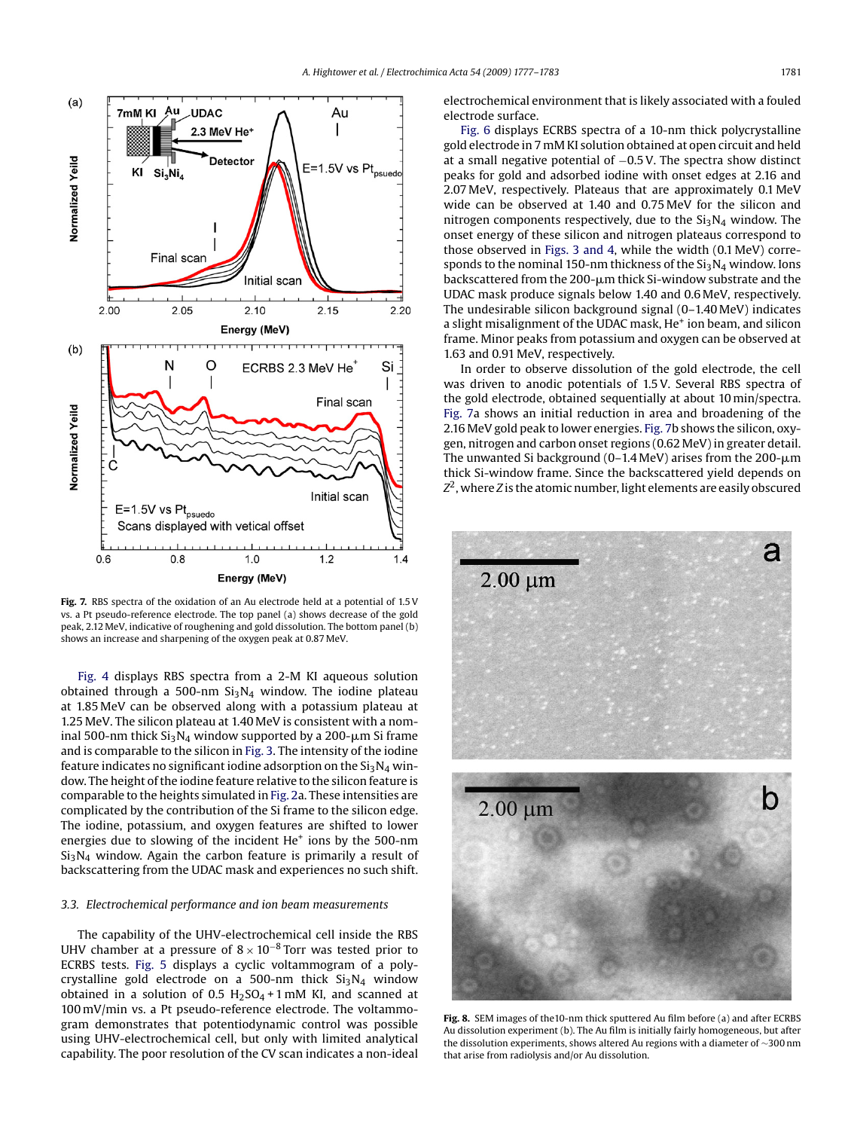<span id="page-4-0"></span>

**Fig. 7.** RBS spectra of the oxidation of an Au electrode held at a potential of 1.5 V vs. a Pt pseudo-reference electrode. The top panel (a) shows decrease of the gold peak, 2.12 MeV, indicative of roughening and gold dissolution. The bottom panel (b) shows an increase and sharpening of the oxygen peak at 0.87 MeV.

[Fig. 4](#page-3-0) displays RBS spectra from a 2-M KI aqueous solution obtained through a 500-nm  $Si<sub>3</sub>N<sub>4</sub>$  window. The iodine plateau at 1.85 MeV can be observed along with a potassium plateau at 1.25 MeV. The silicon plateau at 1.40 MeV is consistent with a nominal 500-nm thick Si $_3$ N $_4$  window supported by a 200- $\mu$ m Si frame and is comparable to the silicon in [Fig. 3. T](#page-2-0)he intensity of the iodine feature indicates no significant iodine adsorption on the  $Si<sub>3</sub>N<sub>4</sub>$  window. The height of the iodine feature relative to the silicon feature is comparable to the heights simulated in [Fig. 2a.](#page-2-0) These intensities are complicated by the contribution of the Si frame to the silicon edge. The iodine, potassium, and oxygen features are shifted to lower energies due to slowing of the incident He<sup>+</sup> ions by the 500-nm  $Si<sub>3</sub>N<sub>4</sub>$  window. Again the carbon feature is primarily a result of backscattering from the UDAC mask and experiences no such shift.

## *3.3. Electrochemical performance and ion beam measurements*

The capability of the UHV-electrochemical cell inside the RBS UHV chamber at a pressure of  $8 \times 10^{-8}$  Torr was tested prior to ECRBS tests. [Fig. 5](#page-3-0) displays a cyclic voltammogram of a polycrystalline gold electrode on a 500-nm thick  $Si<sub>3</sub>N<sub>4</sub>$  window obtained in a solution of 0.5  $H<sub>2</sub>SO<sub>4</sub>+1$  mM KI, and scanned at 100 mV/min vs. a Pt pseudo-reference electrode. The voltammogram demonstrates that potentiodynamic control was possible using UHV-electrochemical cell, but only with limited analytical capability. The poor resolution of the CV scan indicates a non-ideal electrochemical environment that is likely associated with a fouled electrode surface.

[Fig. 6](#page-3-0) displays ECRBS spectra of a 10-nm thick polycrystalline gold electrode in 7 mM KI solution obtained at open circuit and held at a small negative potential of −0.5 V. The spectra show distinct peaks for gold and adsorbed iodine with onset edges at 2.16 and 2.07 MeV, respectively. Plateaus that are approximately 0.1 MeV wide can be observed at 1.40 and 0.75 MeV for the silicon and nitrogen components respectively, due to the  $Si<sub>3</sub>N<sub>4</sub>$  window. The onset energy of these silicon and nitrogen plateaus correspond to those observed in [Figs. 3 and 4,](#page-2-0) while the width (0.1 MeV) corresponds to the nominal 150-nm thickness of the  $Si<sub>3</sub>N<sub>4</sub>$  window. Ions backscattered from the 200- $\upmu$ m thick Si-window substrate and the UDAC mask produce signals below 1.40 and 0.6 MeV, respectively. The undesirable silicon background signal (0–1.40 MeV) indicates a slight misalignment of the UDAC mask, He<sup>+</sup> ion beam, and silicon frame. Minor peaks from potassium and oxygen can be observed at 1.63 and 0.91 MeV, respectively.

In order to observe dissolution of the gold electrode, the cell was driven to anodic potentials of 1.5 V. Several RBS spectra of the gold electrode, obtained sequentially at about 10 min/spectra. Fig. 7a shows an initial reduction in area and broadening of the 2.16 MeV gold peak to lower energies. Fig. 7b shows the silicon, oxygen, nitrogen and carbon onset regions (0.62 MeV) in greater detail. The unwanted Si background (0–1.4 MeV) arises from the 200- $\upmu$ m thick Si-window frame. Since the backscattered yield depends on *Z*2, where *Z* is the atomic number, light elements are easily obscured



**Fig. 8.** SEM images of the10-nm thick sputtered Au film before (a) and after ECRBS Au dissolution experiment (b). The Au film is initially fairly homogeneous, but after the dissolution experiments, shows altered Au regions with a diameter of ∼300 nm that arise from radiolysis and/or Au dissolution.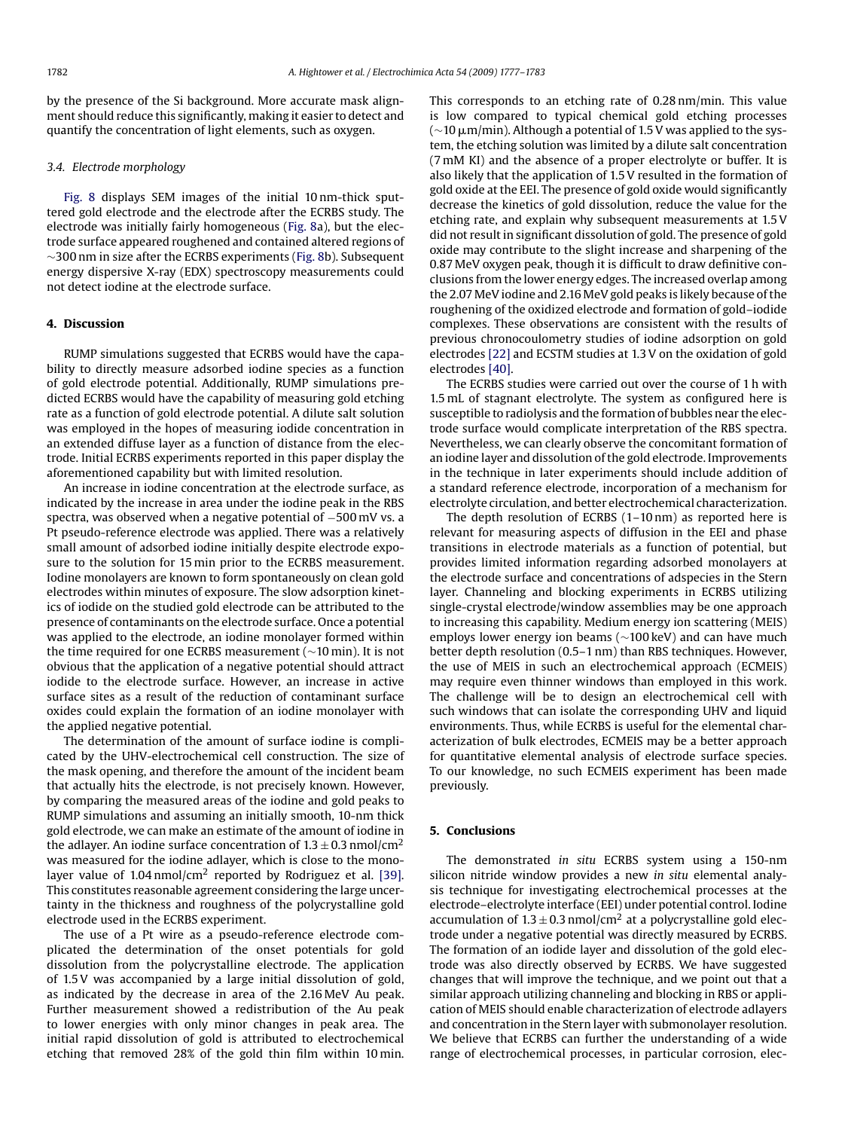by the presence of the Si background. More accurate mask alignment should reduce this significantly, making it easier to detect and quantify the concentration of light elements, such as oxygen.

## *3.4. Electrode morphology*

[Fig. 8](#page-4-0) displays SEM images of the initial 10 nm-thick sputtered gold electrode and the electrode after the ECRBS study. The electrode was initially fairly homogeneous [\(Fig. 8a](#page-4-0)), but the electrode surface appeared roughened and contained altered regions of ∼300 nm in size after the ECRBS experiments [\(Fig. 8b\)](#page-4-0). Subsequent energy dispersive X-ray (EDX) spectroscopy measurements could not detect iodine at the electrode surface.

### **4. Discussion**

RUMP simulations suggested that ECRBS would have the capability to directly measure adsorbed iodine species as a function of gold electrode potential. Additionally, RUMP simulations predicted ECRBS would have the capability of measuring gold etching rate as a function of gold electrode potential. A dilute salt solution was employed in the hopes of measuring iodide concentration in an extended diffuse layer as a function of distance from the electrode. Initial ECRBS experiments reported in this paper display the aforementioned capability but with limited resolution.

An increase in iodine concentration at the electrode surface, as indicated by the increase in area under the iodine peak in the RBS spectra, was observed when a negative potential of −500 mV vs. a Pt pseudo-reference electrode was applied. There was a relatively small amount of adsorbed iodine initially despite electrode exposure to the solution for 15 min prior to the ECRBS measurement. Iodine monolayers are known to form spontaneously on clean gold electrodes within minutes of exposure. The slow adsorption kinetics of iodide on the studied gold electrode can be attributed to the presence of contaminants on the electrode surface. Once a potential was applied to the electrode, an iodine monolayer formed within the time required for one ECRBS measurement (∼10 min). It is not obvious that the application of a negative potential should attract iodide to the electrode surface. However, an increase in active surface sites as a result of the reduction of contaminant surface oxides could explain the formation of an iodine monolayer with the applied negative potential.

The determination of the amount of surface iodine is complicated by the UHV-electrochemical cell construction. The size of the mask opening, and therefore the amount of the incident beam that actually hits the electrode, is not precisely known. However, by comparing the measured areas of the iodine and gold peaks to RUMP simulations and assuming an initially smooth, 10-nm thick gold electrode, we can make an estimate of the amount of iodine in the adlayer. An iodine surface concentration of  $1.3 \pm 0.3$  nmol/cm<sup>2</sup> was measured for the iodine adlayer, which is close to the monolayer value of  $1.04 \text{ nmol/cm}^2$  reported by Rodriguez et al. [\[39\].](#page-6-0) This constitutes reasonable agreement considering the large uncertainty in the thickness and roughness of the polycrystalline gold electrode used in the ECRBS experiment.

The use of a Pt wire as a pseudo-reference electrode complicated the determination of the onset potentials for gold dissolution from the polycrystalline electrode. The application of 1.5 V was accompanied by a large initial dissolution of gold, as indicated by the decrease in area of the 2.16 MeV Au peak. Further measurement showed a redistribution of the Au peak to lower energies with only minor changes in peak area. The initial rapid dissolution of gold is attributed to electrochemical etching that removed 28% of the gold thin film within 10 min. This corresponds to an etching rate of 0.28 nm/min. This value is low compared to typical chemical gold etching processes ( $\sim$ 10  $\mu$ m/min). Although a potential of 1.5 V was applied to the system, the etching solution was limited by a dilute salt concentration (7 mM KI) and the absence of a proper electrolyte or buffer. It is also likely that the application of 1.5 V resulted in the formation of gold oxide at the EEI. The presence of gold oxide would significantly decrease the kinetics of gold dissolution, reduce the value for the etching rate, and explain why subsequent measurements at 1.5 V did not result in significant dissolution of gold. The presence of gold oxide may contribute to the slight increase and sharpening of the 0.87 MeV oxygen peak, though it is difficult to draw definitive conclusions from the lower energy edges. The increased overlap among the 2.07 MeV iodine and 2.16 MeV gold peaks is likely because of the roughening of the oxidized electrode and formation of gold–iodide complexes. These observations are consistent with the results of previous chronocoulometry studies of iodine adsorption on gold electrodes [\[22\]](#page-6-0) and ECSTM studies at 1.3 V on the oxidation of gold electrodes [\[40\].](#page-6-0)

The ECRBS studies were carried out over the course of 1 h with 1.5 mL of stagnant electrolyte. The system as configured here is susceptible to radiolysis and the formation of bubbles near the electrode surface would complicate interpretation of the RBS spectra. Nevertheless, we can clearly observe the concomitant formation of an iodine layer and dissolution of the gold electrode. Improvements in the technique in later experiments should include addition of a standard reference electrode, incorporation of a mechanism for electrolyte circulation, and better electrochemical characterization.

The depth resolution of ECRBS (1–10 nm) as reported here is relevant for measuring aspects of diffusion in the EEI and phase transitions in electrode materials as a function of potential, but provides limited information regarding adsorbed monolayers at the electrode surface and concentrations of adspecies in the Stern layer. Channeling and blocking experiments in ECRBS utilizing single-crystal electrode/window assemblies may be one approach to increasing this capability. Medium energy ion scattering (MEIS) employs lower energy ion beams (∼100 keV) and can have much better depth resolution (0.5–1 nm) than RBS techniques. However, the use of MEIS in such an electrochemical approach (ECMEIS) may require even thinner windows than employed in this work. The challenge will be to design an electrochemical cell with such windows that can isolate the corresponding UHV and liquid environments. Thus, while ECRBS is useful for the elemental characterization of bulk electrodes, ECMEIS may be a better approach for quantitative elemental analysis of electrode surface species. To our knowledge, no such ECMEIS experiment has been made previously.

## **5. Conclusions**

The demonstrated *in situ* ECRBS system using a 150-nm silicon nitride window provides a new *in situ* elemental analysis technique for investigating electrochemical processes at the electrode–electrolyte interface (EEI) under potential control. Iodine accumulation of  $1.3 \pm 0.3$  nmol/cm<sup>2</sup> at a polycrystalline gold electrode under a negative potential was directly measured by ECRBS. The formation of an iodide layer and dissolution of the gold electrode was also directly observed by ECRBS. We have suggested changes that will improve the technique, and we point out that a similar approach utilizing channeling and blocking in RBS or application of MEIS should enable characterization of electrode adlayers and concentration in the Stern layer with submonolayer resolution. We believe that ECRBS can further the understanding of a wide range of electrochemical processes, in particular corrosion, elec